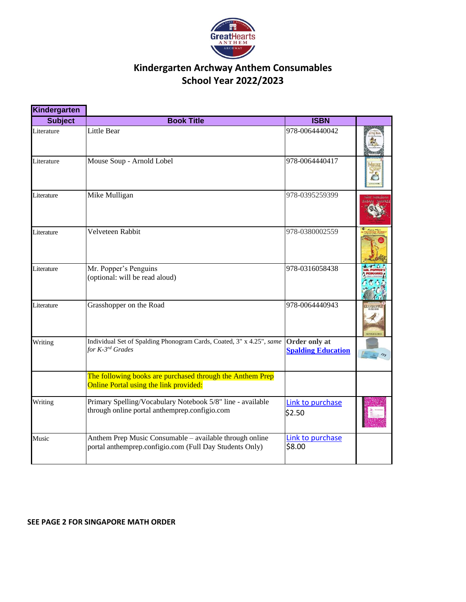

### **Kindergarten Archway Anthem Consumables School Year 2022/2023**

| Kindergarten   |                                                                                                                    |                                            |                    |
|----------------|--------------------------------------------------------------------------------------------------------------------|--------------------------------------------|--------------------|
| <b>Subject</b> | <b>Book Title</b>                                                                                                  | <b>ISBN</b>                                |                    |
| Literature     | Little Bear                                                                                                        | 978-0064440042                             |                    |
| Literature     | Mouse Soup - Arnold Lobel                                                                                          | 978-0064440417                             |                    |
| Literature     | Mike Mulligan                                                                                                      | 978-0395259399                             |                    |
| Literature     | Velveteen Rabbit                                                                                                   | 978-0380002559                             |                    |
| Literature     | Mr. Popper's Penguins<br>(optional: will be read aloud)                                                            | 978-0316058438                             |                    |
| Literature     | Grasshopper on the Road                                                                                            | 978-0064440943                             | <b>GRASSHOPPER</b> |
| Writing        | Individual Set of Spalding Phonogram Cards, Coated, 3" x 4.25", same<br>for K-3 <sup>rd</sup> Grades               | Order only at<br><b>Spalding Education</b> |                    |
|                | The following books are purchased through the Anthem Prep<br>Online Portal using the link provided:                |                                            |                    |
| Writing        | Primary Spelling/Vocabulary Notebook 5/8" line - available<br>through online portal anthemprep.configio.com        | Link to purchase<br>\$2.50                 |                    |
| Music          | Anthem Prep Music Consumable – available through online<br>portal anthemprep.configio.com (Full Day Students Only) | Link to purchase<br>\$8.00                 |                    |

#### **SEE PAGE 2 FOR SINGAPORE MATH ORDER**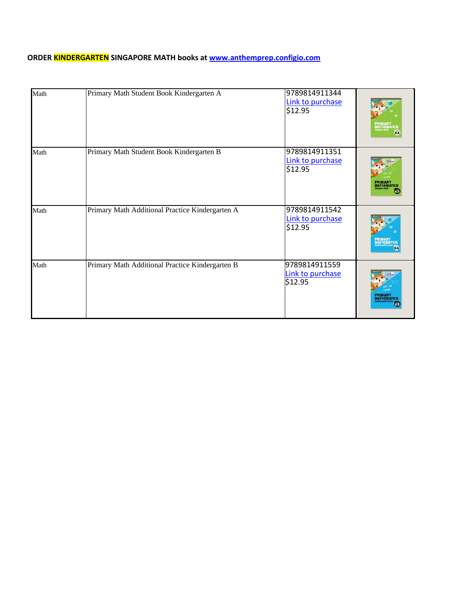### **ORDER KINDERGARTEN SINGAPORE MATH books at [www.anthemprep.configio.com](http://www.anthemprep.configio.com/)**

| Math | Primary Math Student Book Kindergarten A        | 9789814911344<br>Link to purchase<br>\$12.95 | <b>MATHEMATICE</b><br>KÄ     |
|------|-------------------------------------------------|----------------------------------------------|------------------------------|
| Math | Primary Math Student Book Kindergarten B        | 9789814911351<br>Link to purchase<br>\$12.95 | PRIMARY<br><b>ATHEMATICS</b> |
| Math | Primary Math Additional Practice Kindergarten A | 9789814911542<br>Link to purchase<br>\$12.95 |                              |
| Math | Primary Math Additional Practice Kindergarten B | 9789814911559<br>Link to purchase<br>\$12.95 | <b>MATHEMATICS</b>           |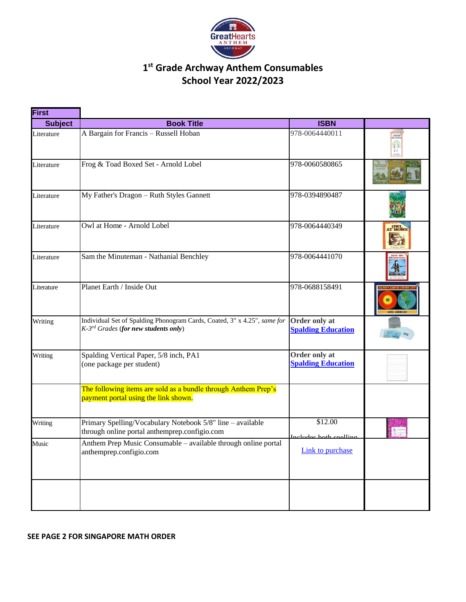

## **1 st Grade Archway Anthem Consumables School Year 2022/2023**

| <b>First</b>   |                                                                                                                                 |                                            |                     |
|----------------|---------------------------------------------------------------------------------------------------------------------------------|--------------------------------------------|---------------------|
| <b>Subject</b> | <b>Book Title</b>                                                                                                               | <b>ISBN</b>                                |                     |
| Literature     | A Bargain for Francis - Russell Hoban                                                                                           | 978-0064440011                             | A BADGAIN           |
| Literature     | Frog & Toad Boxed Set - Arnold Lobel                                                                                            | 978-0060580865                             |                     |
| Literature     | My Father's Dragon - Ruth Styles Gannett                                                                                        | 978-0394890487                             |                     |
| Literature     | Owl at Home - Arnold Lobel                                                                                                      | 978-0064440349                             | OWL<br>AT HOME      |
| Literature     | Sam the Minuteman - Nathanial Benchley                                                                                          | 978-0064441070                             |                     |
| Literature     | Planet Earth / Inside Out                                                                                                       | 978-0688158491                             | <b>GAIL GIBBONS</b> |
| Writing        | Individual Set of Spalding Phonogram Cards, Coated, 3" x 4.25", same for<br>$K$ -3 <sup>rd</sup> Grades (for new students only) | Order only at<br><b>Spalding Education</b> |                     |
| Writing        | Spalding Vertical Paper, 5/8 inch, PA1<br>(one package per student)                                                             | Order only at<br><b>Spalding Education</b> |                     |
|                | The following items are sold as a bundle through Anthem Prep's<br>payment portal using the link shown.                          |                                            |                     |
| Writing        | Primary Spelling/Vocabulary Notebook 5/8" line - available<br>through online portal anthemprep.configio.com                     | \$12.00<br>Includes both spelling          |                     |
| Music          | Anthem Prep Music Consumable - available through online portal<br>anthemprep.configio.com                                       | Link to purchase                           |                     |
|                |                                                                                                                                 |                                            |                     |

### **SEE PAGE 2 FOR SINGAPORE MATH ORDER**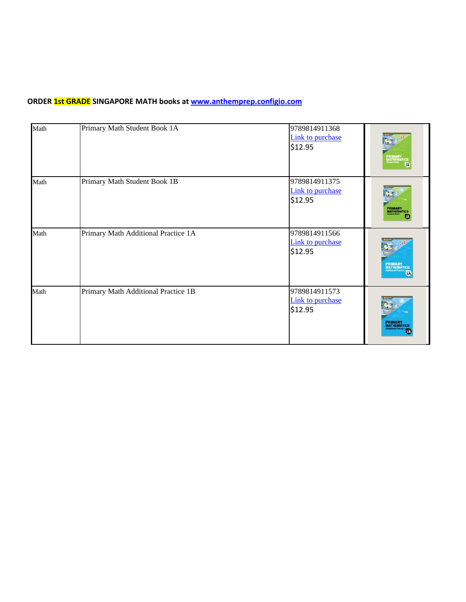### **ORDER 1st GRADE SINGAPORE MATH books a[t www.anthemprep.configio.com](http://www.anthemprep.configio.com/)**

| Math | Primary Math Student Book 1A        | 9789814911368<br>Link to purchase<br>\$12.95 | PRIMARY<br>MATHEMATICS                               |
|------|-------------------------------------|----------------------------------------------|------------------------------------------------------|
| Math | Primary Math Student Book 1B        | 9789814911375<br>Link to purchase<br>\$12.95 | <b>PRIMARY</b><br>MATHEMATICS                        |
| Math | Primary Math Additional Practice 1A | 9789814911566<br>Link to purchase<br>\$12.95 | <b>PRIMARY</b><br>MATHEMATICS<br>Additional Practice |
| Math | Primary Math Additional Practice 1B | 9789814911573<br>Link to purchase<br>\$12.95 | <b>PRIMARY</b><br>MATHEMATICS                        |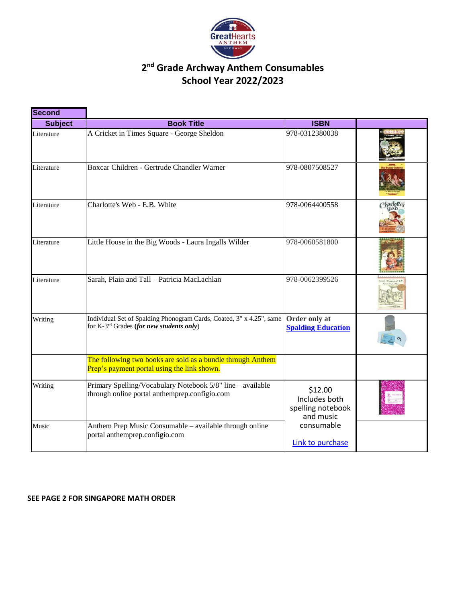

## **2 nd Grade Archway Anthem Consumables School Year 2022/2023**

| <b>Second</b>  |                                                                                                                              |                                                            |  |
|----------------|------------------------------------------------------------------------------------------------------------------------------|------------------------------------------------------------|--|
| <b>Subject</b> | <b>Book Title</b>                                                                                                            | <b>ISBN</b>                                                |  |
| Literature     | A Cricket in Times Square - George Sheldon                                                                                   | 978-0312380038                                             |  |
| Literature     | Boxcar Children - Gertrude Chandler Warner                                                                                   | 978-0807508527                                             |  |
| Literature     | Charlotte's Web - E.B. White                                                                                                 | 978-0064400558                                             |  |
| Literature     | Little House in the Big Woods - Laura Ingalls Wilder                                                                         | 978-0060581800                                             |  |
| Literature     | Sarah, Plain and Tall - Patricia MacLachlan                                                                                  | 978-0062399526                                             |  |
| Writing        | Individual Set of Spalding Phonogram Cards, Coated, 3" x 4.25", same<br>for K-3 <sup>rd</sup> Grades (for new students only) | Order only at<br><b>Spalding Education</b>                 |  |
|                | The following two books are sold as a bundle through Anthem<br>Prep's payment portal using the link shown.                   |                                                            |  |
| Writing        | Primary Spelling/Vocabulary Notebook 5/8" line - available<br>through online portal anthemprep.configio.com                  | \$12.00<br>Includes both<br>spelling notebook<br>and music |  |
| Music          | Anthem Prep Music Consumable - available through online<br>portal anthemprep.configio.com                                    | consumable<br>Link to purchase                             |  |

### **SEE PAGE 2 FOR SINGAPORE MATH ORDER**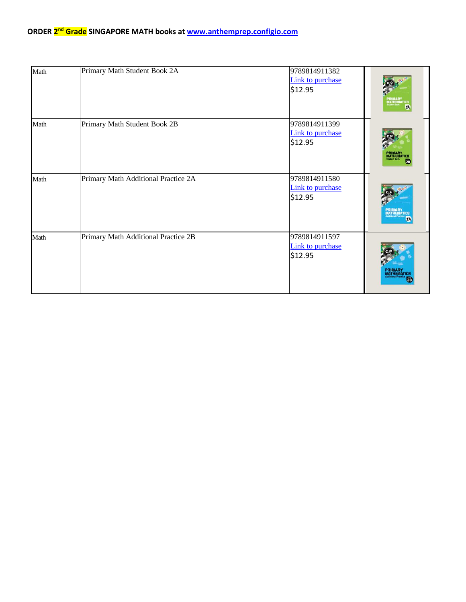#### **ORDER 2 nd Grade SINGAPORE MATH books at [www.anthemprep.configio.com](http://www.anthemprep.configio.com/)**

| Math | Primary Math Student Book 2A        | 9789814911382<br><b>Link to purchase</b><br>\$12.95 | žÃ                            |
|------|-------------------------------------|-----------------------------------------------------|-------------------------------|
| Math | Primary Math Student Book 2B        | 9789814911399<br>Link to purchase<br>\$12.95        | <b>AATHEMATICS</b>            |
| Math | Primary Math Additional Practice 2A | 9789814911580<br>Link to purchase<br>\$12.95        | 'RIMART<br>AATHEMATICE        |
| Math | Primary Math Additional Practice 2B | 9789814911597<br><b>Link to purchase</b><br>\$12.95 | <b>PRIMARY</b><br>MATHEMATICS |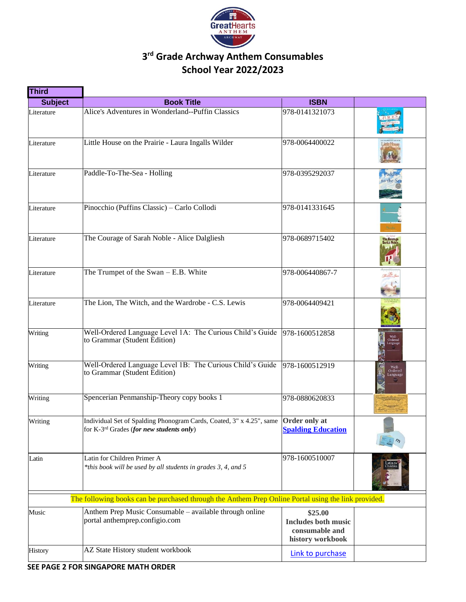

# **3 rd Grade Archway Anthem Consumables School Year 2022/2023**

| <b>Third</b>   |                                                                                                                                            |                                                                             |                         |
|----------------|--------------------------------------------------------------------------------------------------------------------------------------------|-----------------------------------------------------------------------------|-------------------------|
| <b>Subject</b> | <b>Book Title</b>                                                                                                                          | <b>ISBN</b>                                                                 |                         |
| Literature     | Alice's Adventures in Wonderland--Puffin Classics                                                                                          | 978-0141321073                                                              |                         |
| Literature     | Little House on the Prairie - Laura Ingalls Wilder                                                                                         | 978-0064400022                                                              |                         |
| Literature     | Paddle-To-The-Sea - Holling                                                                                                                | 978-0395292037                                                              | Paddle<br>to-the-Sea    |
| Literature     | Pinocchio (Puffins Classic) - Carlo Collodi                                                                                                | 978-0141331645                                                              |                         |
| Literature     | The Courage of Sarah Noble - Alice Dalgliesh                                                                                               | 978-0689715402                                                              | The Courag<br>Sarah Nob |
| Literature     | The Trumpet of the Swan - E.B. White                                                                                                       | 978-006440867-7                                                             |                         |
| Literature     | The Lion, The Witch, and the Wardrobe - C.S. Lewis                                                                                         | 978-0064409421                                                              |                         |
| Writing        | Well-Ordered Language Level 1A: The Curious Child's Guide 978-1600512858<br>to Grammar (Student Edition)                                   |                                                                             |                         |
| Writing        | Well-Ordered Language Level 1B: The Curious Child's Guide<br>to Grammar (Student Edition)                                                  | 978-1600512919                                                              | Well-<br>anguage        |
| Writing        | Spencerian Penmanship-Theory copy books 1                                                                                                  | 978-0880620833                                                              |                         |
| Writing        | Individual Set of Spalding Phonogram Cards, Coated, 3" x 4.25", same Order only at<br>for K-3 <sup>rd</sup> Grades (for new students only) | <b>Spalding Education</b>                                                   |                         |
| Latin          | Latin for Children Primer A<br>*this book will be used by all students in grades 3, 4, and 5                                               | 978-1600510007                                                              |                         |
|                | The following books can be purchased through the Anthem Prep Online Portal using the link provided.                                        |                                                                             |                         |
| Music          | Anthem Prep Music Consumable - available through online<br>portal anthemprep.configio.com                                                  | \$25.00<br><b>Includes both music</b><br>consumable and<br>history workbook |                         |
| <b>History</b> | AZ State History student workbook                                                                                                          | Link to purchase                                                            |                         |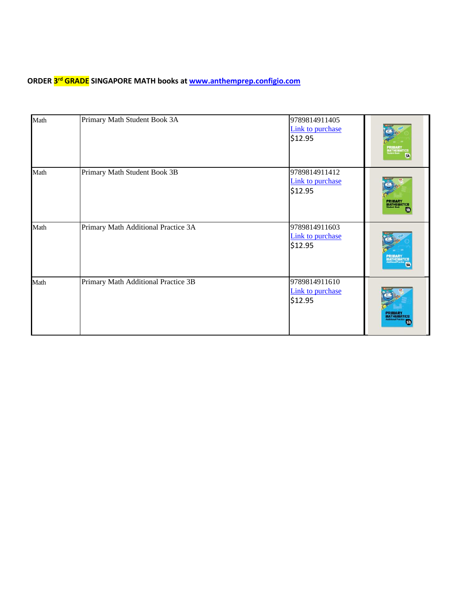### **ORDER 3 rd GRADE SINGAPORE MATH books at [www.anthemprep.configio.com](http://www.anthemprep.configio.com/)**

| Math | Primary Math Student Book 3A        | 9789814911405<br>Link to purchase<br>\$12.95 | RIMARTICS<br>MATHEMATICS      |
|------|-------------------------------------|----------------------------------------------|-------------------------------|
| Math | Primary Math Student Book 3B        | 9789814911412<br>Link to purchase<br>\$12.95 | <b>PRIMARY</b><br>MATHEMATICS |
| Math | Primary Math Additional Practice 3A | 9789814911603<br>Link to purchase<br>\$12.95 | <b>ATHEMATICS</b>             |
| Math | Primary Math Additional Practice 3B | 9789814911610<br>Link to purchase<br>\$12.95 | PRIMARY<br>MATHEMATICS        |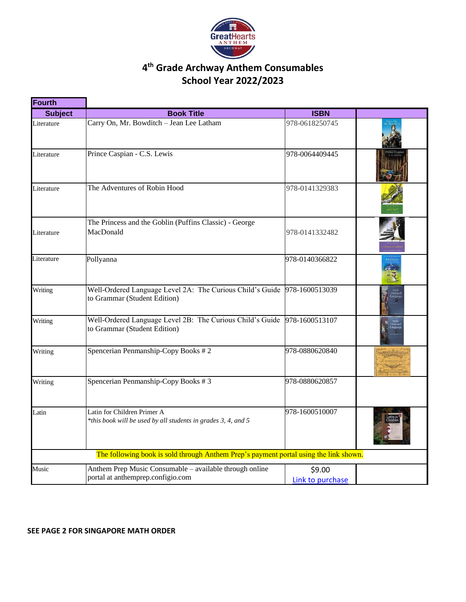

## **4 th Grade Archway Anthem Consumables School Year 2022/2023**

| <b>Fourth</b>  |                                                                                                          |                  |  |
|----------------|----------------------------------------------------------------------------------------------------------|------------------|--|
| <b>Subject</b> | <b>Book Title</b>                                                                                        | <b>ISBN</b>      |  |
| Literature     | Carry On, Mr. Bowditch - Jean Lee Latham                                                                 | 978-0618250745   |  |
| Literature     | Prince Caspian - C.S. Lewis                                                                              | 978-0064409445   |  |
| Literature     | The Adventures of Robin Hood                                                                             | 978-0141329383   |  |
|                | The Princess and the Goblin (Puffins Classic) - George                                                   |                  |  |
| Literature     | MacDonald                                                                                                | 978-0141332482   |  |
| Literature     | Pollyanna                                                                                                | 978-0140366822   |  |
| Writing        | Well-Ordered Language Level 2A: The Curious Child's Guide 978-1600513039<br>to Grammar (Student Edition) |                  |  |
| Writing        | Well-Ordered Language Level 2B: The Curious Child's Guide<br>to Grammar (Student Edition)                | 978-1600513107   |  |
| Writing        | Spencerian Penmanship-Copy Books #2                                                                      | 978-0880620840   |  |
| Writing        | Spencerian Penmanship-Copy Books #3                                                                      | 978-0880620857   |  |
| Latin          | Latin for Children Primer A<br>*this book will be used by all students in grades 3, 4, and 5             | 978-1600510007   |  |
|                | The following book is sold through Anthem Prep's payment portal using the link shown.                    |                  |  |
| Music          | Anthem Prep Music Consumable - available through online                                                  | \$9.00           |  |
|                | portal at anthemprep.configio.com                                                                        | Link to purchase |  |

#### **SEE PAGE 2 FOR SINGAPORE MATH ORDER**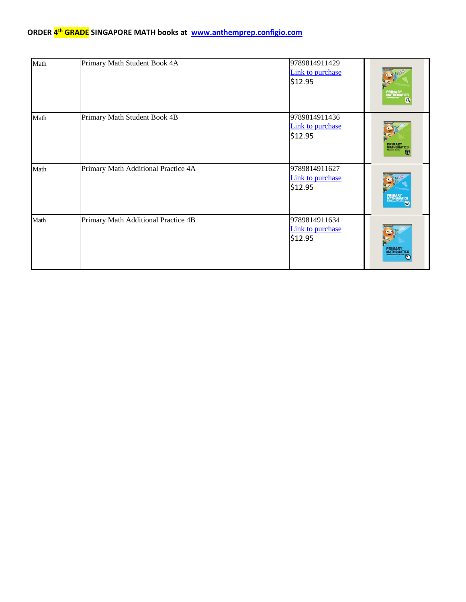#### **ORDER 4 th GRADE SINGAPORE MATH books at [www.anthemprep.configio.com](http://www.anthemprep.configio.com/)**

| Math | Primary Math Student Book 4A        | 9789814911429<br>Link to purchase<br>\$12.95        | <b>PRIMARY<br/>MATHEMATICB</b><br>Student Book<br>LiA |
|------|-------------------------------------|-----------------------------------------------------|-------------------------------------------------------|
| Math | Primary Math Student Book 4B        | 9789814911436<br><b>Link to purchase</b><br>\$12.95 | <b>PRIMARY</b><br>MATHEMATICS                         |
| Math | Primary Math Additional Practice 4A | 9789814911627<br>Link to purchase<br>\$12.95        | <b>PRIMARY<br/>MATHEMATICS</b><br>Additional Practice |
| Math | Primary Math Additional Practice 4B | 9789814911634<br>Link to purchase<br>\$12.95        | <b>PRIMARY</b><br>MATHEMATICS                         |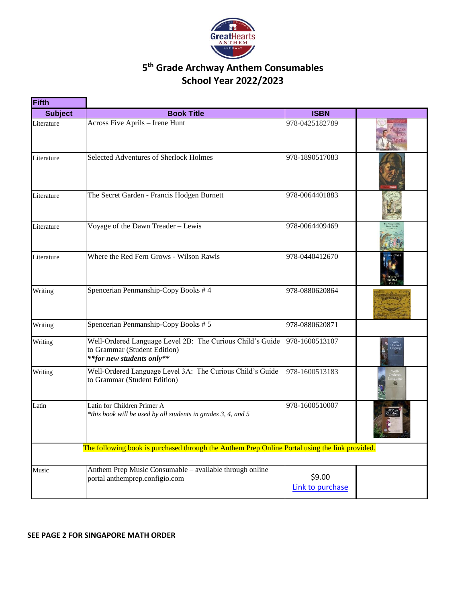

## **5 th Grade Archway Anthem Consumables School Year 2022/2023**

| Fifth          |                                                                                                                        |                            |  |
|----------------|------------------------------------------------------------------------------------------------------------------------|----------------------------|--|
| <b>Subject</b> | <b>Book Title</b>                                                                                                      | <b>ISBN</b>                |  |
| Literature     | Across Five Aprils - Irene Hunt                                                                                        | 978-0425182789             |  |
| Literature     | Selected Adventures of Sherlock Holmes                                                                                 | 978-1890517083             |  |
| Literature     | The Secret Garden - Francis Hodgen Burnett                                                                             | 978-0064401883             |  |
| Literature     | Voyage of the Dawn Treader - Lewis                                                                                     | 978-0064409469             |  |
| Literature     | Where the Red Fern Grows - Wilson Rawls                                                                                | 978-0440412670             |  |
| Writing        | Spencerian Penmanship-Copy Books #4                                                                                    | 978-0880620864             |  |
| Writing        | Spencerian Penmanship-Copy Books #5                                                                                    | 978-0880620871             |  |
| Writing        | Well-Ordered Language Level 2B: The Curious Child's Guide<br>to Grammar (Student Edition)<br>**for new students only** | 978-1600513107             |  |
| Writing        | Well-Ordered Language Level 3A: The Curious Child's Guide<br>to Grammar (Student Edition)                              | 978-1600513183             |  |
| Latin          | Latin for Children Primer A<br>*this book will be used by all students in grades 3, 4, and 5                           | 978-1600510007             |  |
|                | The following book is purchased through the Anthem Prep Online Portal using the link provided.                         |                            |  |
| Music          | Anthem Prep Music Consumable - available through online<br>portal anthemprep.configio.com                              | \$9.00<br>Link to purchase |  |

#### **SEE PAGE 2 FOR SINGAPORE MATH ORDER**